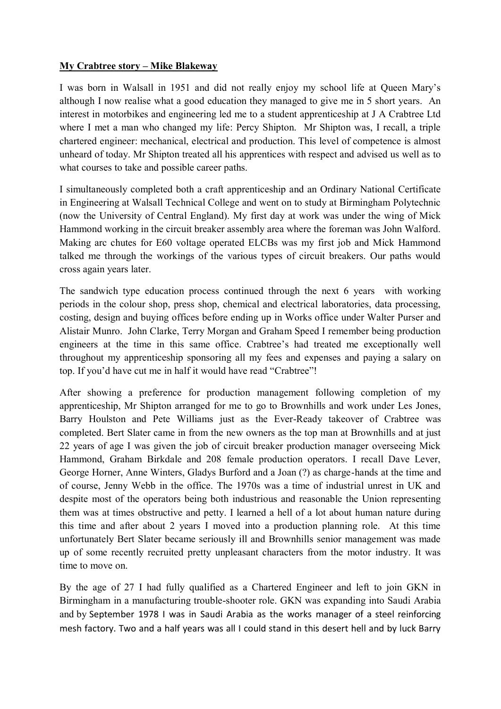## **My Crabtree story – Mike Blakeway**

I was born in Walsall in 1951 and did not really enjoy my school life at Queen Mary's although I now realise what a good education they managed to give me in 5 short years. An interest in motorbikes and engineering led me to a student apprenticeship at J A Crabtree Ltd where I met a man who changed my life: Percy Shipton. Mr Shipton was, I recall, a triple chartered engineer: mechanical, electrical and production. This level of competence is almost unheard of today. Mr Shipton treated all his apprentices with respect and advised us well as to what courses to take and possible career paths.

I simultaneously completed both a craft apprenticeship and an Ordinary National Certificate in Engineering at Walsall Technical College and went on to study at Birmingham Polytechnic (now the University of Central England). My first day at work was under the wing of Mick Hammond working in the circuit breaker assembly area where the foreman was John Walford. Making arc chutes for E60 voltage operated ELCBs was my first job and Mick Hammond talked me through the workings of the various types of circuit breakers. Our paths would cross again years later.

The sandwich type education process continued through the next 6 years with working periods in the colour shop, press shop, chemical and electrical laboratories, data processing, costing, design and buying offices before ending up in Works office under Walter Purser and Alistair Munro. John Clarke, Terry Morgan and Graham Speed I remember being production engineers at the time in this same office. Crabtree's had treated me exceptionally well throughout my apprenticeship sponsoring all my fees and expenses and paying a salary on top. If you'd have cut me in half it would have read "Crabtree"!

After showing a preference for production management following completion of my apprenticeship, Mr Shipton arranged for me to go to Brownhills and work under Les Jones, Barry Houlston and Pete Williams just as the Ever-Ready takeover of Crabtree was completed. Bert Slater came in from the new owners as the top man at Brownhills and at just 22 years of age I was given the job of circuit breaker production manager overseeing Mick Hammond, Graham Birkdale and 208 female production operators. I recall Dave Lever, George Horner, Anne Winters, Gladys Burford and a Joan (?) as charge-hands at the time and of course, Jenny Webb in the office. The 1970s was a time of industrial unrest in UK and despite most of the operators being both industrious and reasonable the Union representing them was at times obstructive and petty. I learned a hell of a lot about human nature during this time and after about 2 years I moved into a production planning role. At this time unfortunately Bert Slater became seriously ill and Brownhills senior management was made up of some recently recruited pretty unpleasant characters from the motor industry. It was time to move on.

By the age of 27 I had fully qualified as a Chartered Engineer and left to join GKN in Birmingham in a manufacturing trouble-shooter role. GKN was expanding into Saudi Arabia and by September 1978 I was in Saudi Arabia as the works manager of a steel reinforcing mesh factory. Two and a half years was all I could stand in this desert hell and by luck Barry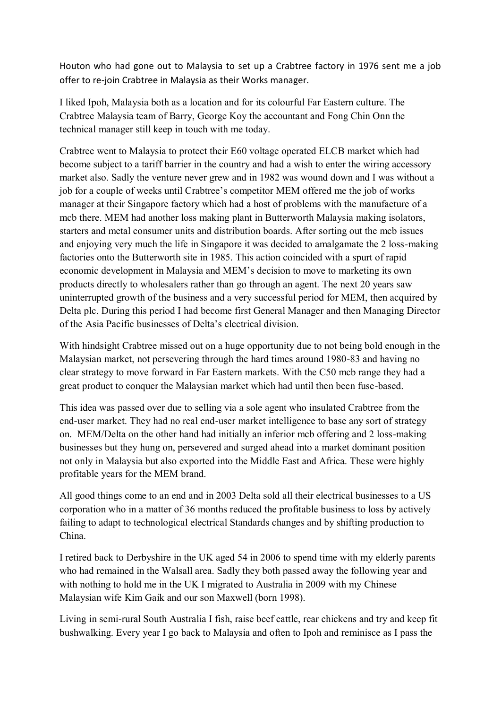Houton who had gone out to Malaysia to set up a Crabtree factory in 1976 sent me a job offer to re-join Crabtree in Malaysia as their Works manager.

I liked Ipoh, Malaysia both as a location and for its colourful Far Eastern culture. The Crabtree Malaysia team of Barry, George Koy the accountant and Fong Chin Onn the technical manager still keep in touch with me today.

Crabtree went to Malaysia to protect their E60 voltage operated ELCB market which had become subject to a tariff barrier in the country and had a wish to enter the wiring accessory market also. Sadly the venture never grew and in 1982 was wound down and I was without a job for a couple of weeks until Crabtree's competitor MEM offered me the job of works manager at their Singapore factory which had a host of problems with the manufacture of a mcb there. MEM had another loss making plant in Butterworth Malaysia making isolators, starters and metal consumer units and distribution boards. After sorting out the mcb issues and enjoying very much the life in Singapore it was decided to amalgamate the 2 loss-making factories onto the Butterworth site in 1985. This action coincided with a spurt of rapid economic development in Malaysia and MEM's decision to move to marketing its own products directly to wholesalers rather than go through an agent. The next 20 years saw uninterrupted growth of the business and a very successful period for MEM, then acquired by Delta plc. During this period I had become first General Manager and then Managing Director of the Asia Pacific businesses of Delta's electrical division.

With hindsight Crabtree missed out on a huge opportunity due to not being bold enough in the Malaysian market, not persevering through the hard times around 1980-83 and having no clear strategy to move forward in Far Eastern markets. With the C50 mcb range they had a great product to conquer the Malaysian market which had until then been fuse-based.

This idea was passed over due to selling via a sole agent who insulated Crabtree from the end-user market. They had no real end-user market intelligence to base any sort of strategy on. MEM/Delta on the other hand had initially an inferior mcb offering and 2 loss-making businesses but they hung on, persevered and surged ahead into a market dominant position not only in Malaysia but also exported into the Middle East and Africa. These were highly profitable years for the MEM brand.

All good things come to an end and in 2003 Delta sold all their electrical businesses to a US corporation who in a matter of 36 months reduced the profitable business to loss by actively failing to adapt to technological electrical Standards changes and by shifting production to China.

I retired back to Derbyshire in the UK aged 54 in 2006 to spend time with my elderly parents who had remained in the Walsall area. Sadly they both passed away the following year and with nothing to hold me in the UK I migrated to Australia in 2009 with my Chinese Malaysian wife Kim Gaik and our son Maxwell (born 1998).

Living in semi-rural South Australia I fish, raise beef cattle, rear chickens and try and keep fit bushwalking. Every year I go back to Malaysia and often to Ipoh and reminisce as I pass the